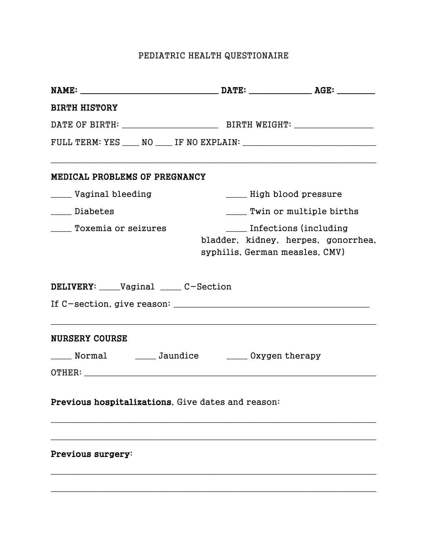## PEDIATRIC HEALTH QUESTIONAIRE

| <b>BIRTH HISTORY</b>                                 |                                |                                                                   |
|------------------------------------------------------|--------------------------------|-------------------------------------------------------------------|
|                                                      |                                |                                                                   |
|                                                      |                                |                                                                   |
| MEDICAL PROBLEMS OF PREGNANCY                        |                                |                                                                   |
| ____ Vaginal bleeding                                |                                | ____ High blood pressure                                          |
| _____ Diabetes                                       |                                | ____ Twin or multiple births                                      |
| _____ Toxemia or seizures                            | syphilis, German measles, CMV) | ____ Infections (including<br>bladder, kidney, herpes, gonorrhea, |
| DELIVERY: ____Vaginal _____ C-Section                |                                |                                                                   |
| <b>NURSERY COURSE</b>                                |                                |                                                                   |
| _____ Normal _______ Jaundice _______ 0xygen therapy |                                |                                                                   |
| Previous hospitalizations, Give dates and reason:    |                                |                                                                   |
| Previous surgery:                                    |                                |                                                                   |
|                                                      |                                |                                                                   |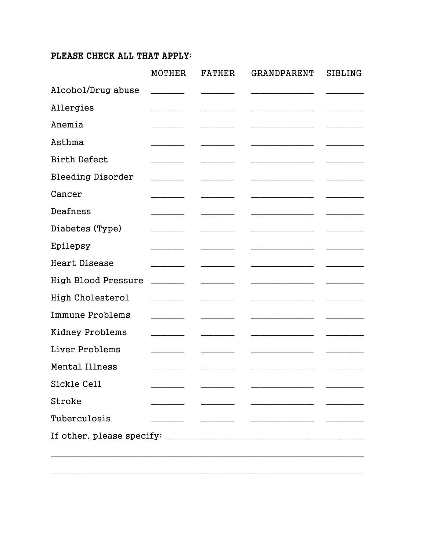## PLEASE CHECK ALL THAT APPLY:

|                            | <b>MOTHER</b> | <b>FATHER</b> | GRANDPARENT              | SIBLING |
|----------------------------|---------------|---------------|--------------------------|---------|
| Alcohol/Drug abuse         |               |               |                          |         |
| Allergies                  |               |               |                          |         |
| Anemia                     |               |               |                          |         |
| Asthma                     |               |               |                          |         |
| <b>Birth Defect</b>        |               |               |                          |         |
| <b>Bleeding Disorder</b>   |               |               |                          |         |
| Cancer                     |               |               |                          |         |
| Deafness                   |               |               |                          |         |
| Diabetes (Type)            |               |               |                          |         |
| Epilepsy                   |               |               |                          |         |
| <b>Heart Disease</b>       |               |               |                          |         |
| <b>High Blood Pressure</b> |               |               |                          |         |
| <b>High Cholesterol</b>    |               |               |                          |         |
| <b>Immune Problems</b>     |               |               |                          |         |
| Kidney Problems            |               |               |                          |         |
| Liver Problems             |               |               | $\overline{\phantom{0}}$ |         |
| Mental Illness             |               |               |                          |         |
| Sickle Cell                |               |               |                          |         |
| Stroke                     |               |               |                          |         |
| Tuberculosis               |               |               |                          |         |
|                            |               |               |                          |         |
|                            |               |               |                          |         |